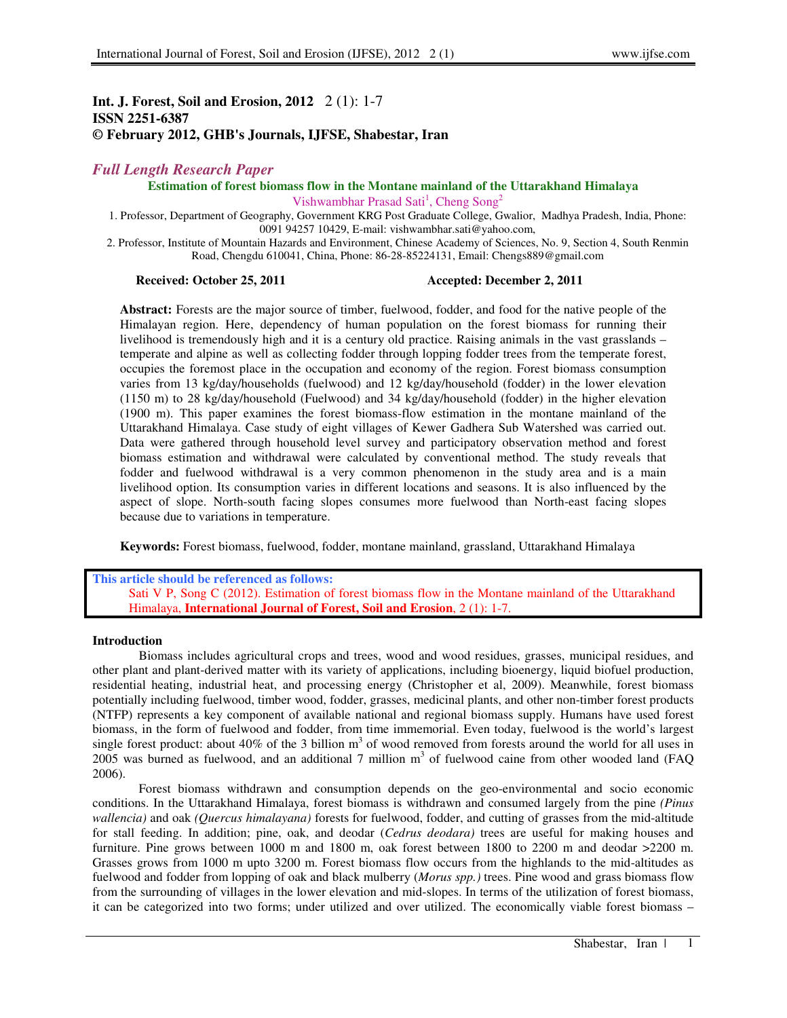# **Int. J. Forest, Soil and Erosion, 2012** 2 (1): 1-7 **ISSN 2251-6387 © February 2012, GHB's Journals, IJFSE, Shabestar, Iran**

# *Full Length Research Paper*

**Estimation of forest biomass flow in the Montane mainland of the Uttarakhand Himalaya** 

Vishwambhar Prasad Sati<sup>1</sup>, Cheng Song<sup>2</sup>

1. Professor, Department of Geography, Government KRG Post Graduate College, Gwalior, Madhya Pradesh, India, Phone: 0091 94257 10429, E-mail: vishwambhar.sati@yahoo.com,

2. Professor, Institute of Mountain Hazards and Environment, Chinese Academy of Sciences, No. 9, Section 4, South Renmin Road, Chengdu 610041, China, Phone: 86-28-85224131, Email: Chengs889@gmail.com

#### **Received: October 25, 2011 Accepted: December 2, 2011**

**Abstract:** Forests are the major source of timber, fuelwood, fodder, and food for the native people of the Himalayan region. Here, dependency of human population on the forest biomass for running their livelihood is tremendously high and it is a century old practice. Raising animals in the vast grasslands – temperate and alpine as well as collecting fodder through lopping fodder trees from the temperate forest, occupies the foremost place in the occupation and economy of the region. Forest biomass consumption varies from 13 kg/day/households (fuelwood) and 12 kg/day/household (fodder) in the lower elevation (1150 m) to 28 kg/day/household (Fuelwood) and 34 kg/day/household (fodder) in the higher elevation (1900 m). This paper examines the forest biomass-flow estimation in the montane mainland of the Uttarakhand Himalaya. Case study of eight villages of Kewer Gadhera Sub Watershed was carried out. Data were gathered through household level survey and participatory observation method and forest biomass estimation and withdrawal were calculated by conventional method. The study reveals that fodder and fuelwood withdrawal is a very common phenomenon in the study area and is a main livelihood option. Its consumption varies in different locations and seasons. It is also influenced by the aspect of slope. North-south facing slopes consumes more fuelwood than North-east facing slopes because due to variations in temperature.

**Keywords:** Forest biomass, fuelwood, fodder, montane mainland, grassland, Uttarakhand Himalaya

**This article should be referenced as follows:**  Sati V P, Song C (2012). Estimation of forest biomass flow in the Montane mainland of the Uttarakhand Himalaya, **International Journal of Forest, Soil and Erosion**, 2 (1): 1-7.

#### **Introduction**

Biomass includes agricultural crops and trees, wood and wood residues, grasses, municipal residues, and other plant and plant-derived matter with its variety of applications, including bioenergy, liquid biofuel production, residential heating, industrial heat, and processing energy (Christopher et al, 2009). Meanwhile, forest biomass potentially including fuelwood, timber wood, fodder, grasses, medicinal plants, and other non-timber forest products (NTFP) represents a key component of available national and regional biomass supply. Humans have used forest biomass, in the form of fuelwood and fodder, from time immemorial. Even today, fuelwood is the world's largest single forest product: about 40% of the 3 billion  $m<sup>3</sup>$  of wood removed from forests around the world for all uses in 2005 was burned as fuelwood, and an additional 7 million  $m<sup>3</sup>$  of fuelwood caine from other wooded land (FAQ 2006).

Forest biomass withdrawn and consumption depends on the geo-environmental and socio economic conditions. In the Uttarakhand Himalaya, forest biomass is withdrawn and consumed largely from the pine *(Pinus wallencia)* and oak *(Quercus himalayana)* forests for fuelwood, fodder, and cutting of grasses from the mid-altitude for stall feeding. In addition; pine, oak, and deodar (*Cedrus deodara)* trees are useful for making houses and furniture. Pine grows between 1000 m and 1800 m, oak forest between 1800 to 2200 m and deodar >2200 m. Grasses grows from 1000 m upto 3200 m. Forest biomass flow occurs from the highlands to the mid-altitudes as fuelwood and fodder from lopping of oak and black mulberry (*Morus spp.)* trees. Pine wood and grass biomass flow from the surrounding of villages in the lower elevation and mid-slopes. In terms of the utilization of forest biomass, it can be categorized into two forms; under utilized and over utilized. The economically viable forest biomass –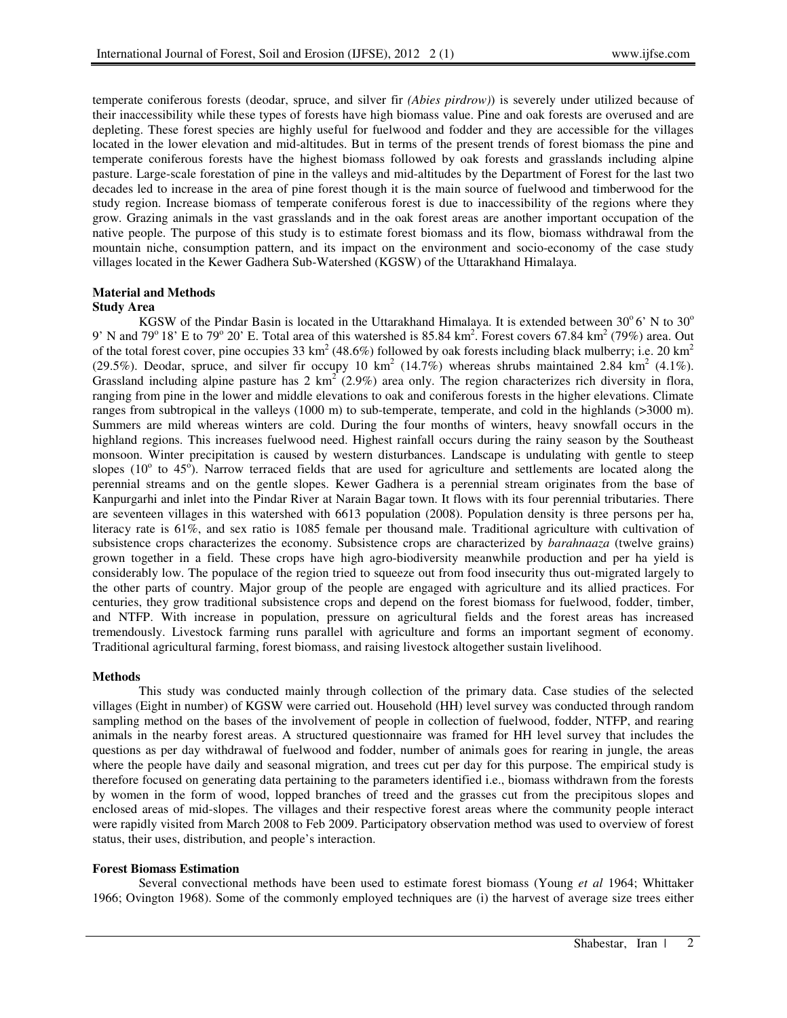temperate coniferous forests (deodar, spruce, and silver fir *(Abies pirdrow)*) is severely under utilized because of their inaccessibility while these types of forests have high biomass value. Pine and oak forests are overused and are depleting. These forest species are highly useful for fuelwood and fodder and they are accessible for the villages located in the lower elevation and mid-altitudes. But in terms of the present trends of forest biomass the pine and temperate coniferous forests have the highest biomass followed by oak forests and grasslands including alpine pasture. Large-scale forestation of pine in the valleys and mid-altitudes by the Department of Forest for the last two decades led to increase in the area of pine forest though it is the main source of fuelwood and timberwood for the study region. Increase biomass of temperate coniferous forest is due to inaccessibility of the regions where they grow. Grazing animals in the vast grasslands and in the oak forest areas are another important occupation of the native people. The purpose of this study is to estimate forest biomass and its flow, biomass withdrawal from the mountain niche, consumption pattern, and its impact on the environment and socio-economy of the case study villages located in the Kewer Gadhera Sub-Watershed (KGSW) of the Uttarakhand Himalaya.

# **Material and Methods**

# **Study Area**

KGSW of the Pindar Basin is located in the Uttarakhand Himalaya. It is extended between  $30^{\circ}$  6' N to  $30^{\circ}$ 9' N and 79<sup>o</sup> 18' E to 79<sup>o</sup> 20' E. Total area of this watershed is 85.84 km<sup>2</sup>. Forest covers 67.84 km<sup>2</sup> (79%) area. Out of the total forest cover, pine occupies 33 km<sup>2</sup> (48.6%) followed by oak forests including black mulberry; i.e. 20 km<sup>2</sup> (29.5%). Deodar, spruce, and silver fir occupy 10 km<sup>2</sup> (14.7%) whereas shrubs maintained 2.84 km<sup>2</sup> (4.1%). Grassland including alpine pasture has  $2 \text{ km}^2$  (2.9%) area only. The region characterizes rich diversity in flora, ranging from pine in the lower and middle elevations to oak and coniferous forests in the higher elevations. Climate ranges from subtropical in the valleys (1000 m) to sub-temperate, temperate, and cold in the highlands (>3000 m). Summers are mild whereas winters are cold. During the four months of winters, heavy snowfall occurs in the highland regions. This increases fuelwood need. Highest rainfall occurs during the rainy season by the Southeast monsoon. Winter precipitation is caused by western disturbances. Landscape is undulating with gentle to steep slopes ( $10^{\circ}$  to  $45^{\circ}$ ). Narrow terraced fields that are used for agriculture and settlements are located along the perennial streams and on the gentle slopes. Kewer Gadhera is a perennial stream originates from the base of Kanpurgarhi and inlet into the Pindar River at Narain Bagar town. It flows with its four perennial tributaries. There are seventeen villages in this watershed with 6613 population (2008). Population density is three persons per ha, literacy rate is 61%, and sex ratio is 1085 female per thousand male. Traditional agriculture with cultivation of subsistence crops characterizes the economy. Subsistence crops are characterized by *barahnaaza* (twelve grains) grown together in a field. These crops have high agro-biodiversity meanwhile production and per ha yield is considerably low. The populace of the region tried to squeeze out from food insecurity thus out-migrated largely to the other parts of country. Major group of the people are engaged with agriculture and its allied practices. For centuries, they grow traditional subsistence crops and depend on the forest biomass for fuelwood, fodder, timber, and NTFP. With increase in population, pressure on agricultural fields and the forest areas has increased tremendously. Livestock farming runs parallel with agriculture and forms an important segment of economy. Traditional agricultural farming, forest biomass, and raising livestock altogether sustain livelihood.

# **Methods**

This study was conducted mainly through collection of the primary data. Case studies of the selected villages (Eight in number) of KGSW were carried out. Household (HH) level survey was conducted through random sampling method on the bases of the involvement of people in collection of fuelwood, fodder, NTFP, and rearing animals in the nearby forest areas. A structured questionnaire was framed for HH level survey that includes the questions as per day withdrawal of fuelwood and fodder, number of animals goes for rearing in jungle, the areas where the people have daily and seasonal migration, and trees cut per day for this purpose. The empirical study is therefore focused on generating data pertaining to the parameters identified i.e., biomass withdrawn from the forests by women in the form of wood, lopped branches of treed and the grasses cut from the precipitous slopes and enclosed areas of mid-slopes. The villages and their respective forest areas where the community people interact were rapidly visited from March 2008 to Feb 2009. Participatory observation method was used to overview of forest status, their uses, distribution, and people's interaction.

# **Forest Biomass Estimation**

Several convectional methods have been used to estimate forest biomass (Young *et al* 1964; Whittaker 1966; Ovington 1968). Some of the commonly employed techniques are (i) the harvest of average size trees either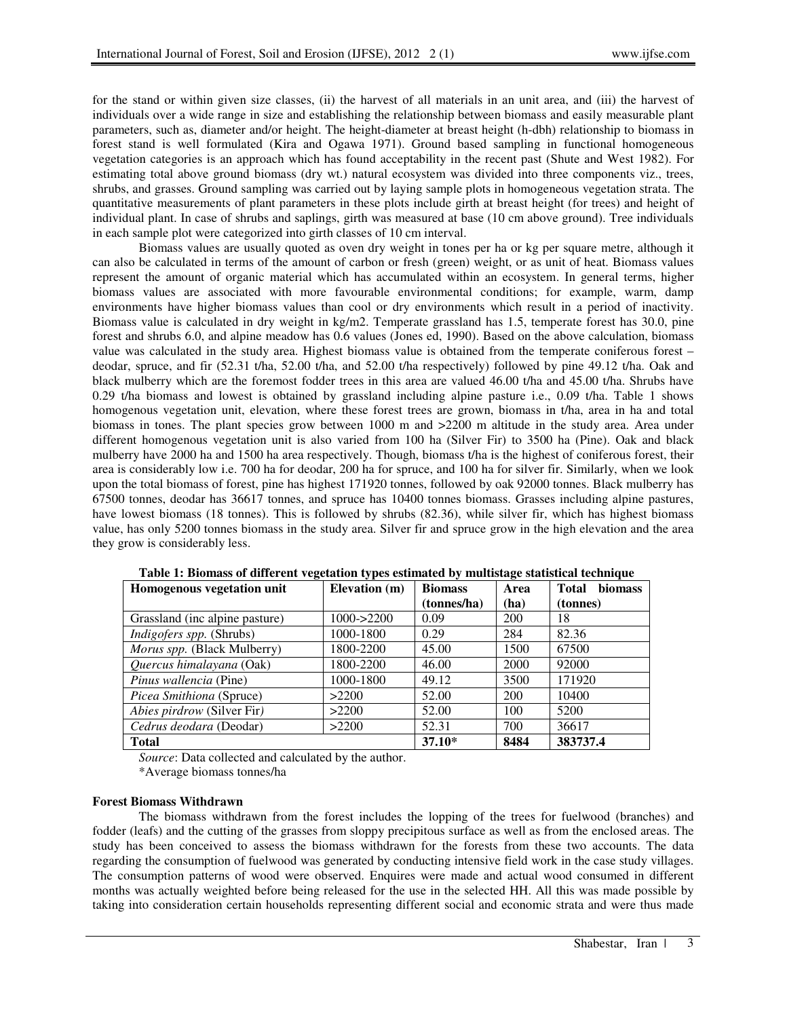for the stand or within given size classes, (ii) the harvest of all materials in an unit area, and (iii) the harvest of individuals over a wide range in size and establishing the relationship between biomass and easily measurable plant parameters, such as, diameter and/or height. The height-diameter at breast height (h-dbh) relationship to biomass in forest stand is well formulated (Kira and Ogawa 1971). Ground based sampling in functional homogeneous vegetation categories is an approach which has found acceptability in the recent past (Shute and West 1982). For estimating total above ground biomass (dry wt.) natural ecosystem was divided into three components viz., trees, shrubs, and grasses. Ground sampling was carried out by laying sample plots in homogeneous vegetation strata. The quantitative measurements of plant parameters in these plots include girth at breast height (for trees) and height of individual plant. In case of shrubs and saplings, girth was measured at base (10 cm above ground). Tree individuals in each sample plot were categorized into girth classes of 10 cm interval.

Biomass values are usually quoted as oven dry weight in tones per ha or kg per square metre, although it can also be calculated in terms of the amount of carbon or fresh (green) weight, or as unit of heat. Biomass values represent the amount of organic material which has accumulated within an ecosystem. In general terms, higher biomass values are associated with more favourable environmental conditions; for example, warm, damp environments have higher biomass values than cool or dry environments which result in a period of inactivity. Biomass value is calculated in dry weight in kg/m2. Temperate grassland has 1.5, temperate forest has 30.0, pine forest and shrubs 6.0, and alpine meadow has 0.6 values (Jones ed, 1990). Based on the above calculation, biomass value was calculated in the study area. Highest biomass value is obtained from the temperate coniferous forest – deodar, spruce, and fir (52.31 t/ha, 52.00 t/ha, and 52.00 t/ha respectively) followed by pine 49.12 t/ha. Oak and black mulberry which are the foremost fodder trees in this area are valued 46.00 t/ha and 45.00 t/ha. Shrubs have 0.29 t/ha biomass and lowest is obtained by grassland including alpine pasture i.e., 0.09 t/ha. Table 1 shows homogenous vegetation unit, elevation, where these forest trees are grown, biomass in t/ha, area in ha and total biomass in tones. The plant species grow between 1000 m and >2200 m altitude in the study area. Area under different homogenous vegetation unit is also varied from 100 ha (Silver Fir) to 3500 ha (Pine). Oak and black mulberry have 2000 ha and 1500 ha area respectively. Though, biomass t/ha is the highest of coniferous forest, their area is considerably low i.e. 700 ha for deodar, 200 ha for spruce, and 100 ha for silver fir. Similarly, when we look upon the total biomass of forest, pine has highest 171920 tonnes, followed by oak 92000 tonnes. Black mulberry has 67500 tonnes, deodar has 36617 tonnes, and spruce has 10400 tonnes biomass. Grasses including alpine pastures, have lowest biomass (18 tonnes). This is followed by shrubs (82.36), while silver fir, which has highest biomass value, has only 5200 tonnes biomass in the study area. Silver fir and spruce grow in the high elevation and the area they grow is considerably less.

| Homogenous vegetation unit      | Elevation (m)  | <b>Biomass</b> | Area | <b>Total</b><br><b>biomass</b> |
|---------------------------------|----------------|----------------|------|--------------------------------|
|                                 |                | (tonnes/ha)    | (ha) | (tonnes)                       |
| Grassland (inc alpine pasture)  | $1000 - >2200$ | 0.09           | 200  | 18                             |
| <i>Indigofers spp.</i> (Shrubs) | 1000-1800      | 0.29           | 284  | 82.36                          |
| Morus spp. (Black Mulberry)     | 1800-2200      | 45.00          | 1500 | 67500                          |
| Quercus himalayana (Oak)        | 1800-2200      | 46.00          | 2000 | 92000                          |
| Pinus wallencia (Pine)          | 1000-1800      | 49.12          | 3500 | 171920                         |
| Picea Smithiona (Spruce)        | >2200          | 52.00          | 200  | 10400                          |
| Abies pirdrow (Silver Fir)      | >2200          | 52.00          | 100  | 5200                           |
| Cedrus deodara (Deodar)         | >2200          | 52.31          | 700  | 36617                          |
| <b>Total</b>                    |                | $37.10*$       | 8484 | 383737.4                       |

**Table 1: Biomass of different vegetation types estimated by multistage statistical technique** 

*Source*: Data collected and calculated by the author.

\*Average biomass tonnes/ha

# **Forest Biomass Withdrawn**

The biomass withdrawn from the forest includes the lopping of the trees for fuelwood (branches) and fodder (leafs) and the cutting of the grasses from sloppy precipitous surface as well as from the enclosed areas. The study has been conceived to assess the biomass withdrawn for the forests from these two accounts. The data regarding the consumption of fuelwood was generated by conducting intensive field work in the case study villages. The consumption patterns of wood were observed. Enquires were made and actual wood consumed in different months was actually weighted before being released for the use in the selected HH. All this was made possible by taking into consideration certain households representing different social and economic strata and were thus made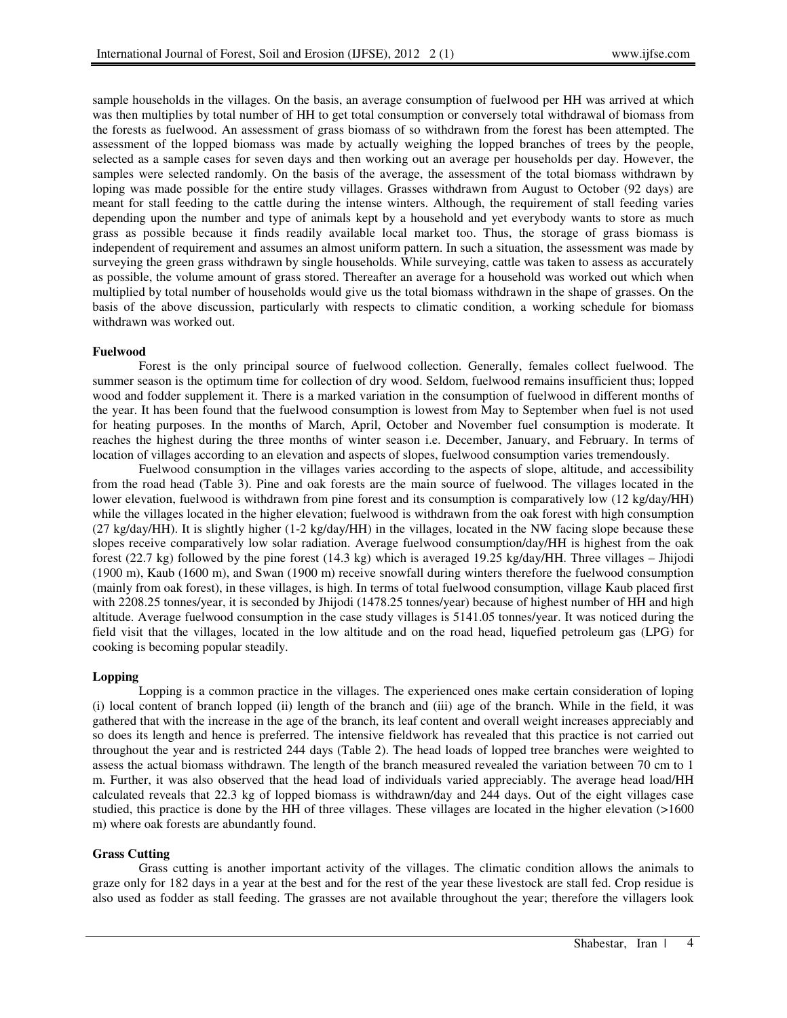sample households in the villages. On the basis, an average consumption of fuelwood per HH was arrived at which was then multiplies by total number of HH to get total consumption or conversely total withdrawal of biomass from the forests as fuelwood. An assessment of grass biomass of so withdrawn from the forest has been attempted. The assessment of the lopped biomass was made by actually weighing the lopped branches of trees by the people, selected as a sample cases for seven days and then working out an average per households per day. However, the samples were selected randomly. On the basis of the average, the assessment of the total biomass withdrawn by loping was made possible for the entire study villages. Grasses withdrawn from August to October (92 days) are meant for stall feeding to the cattle during the intense winters. Although, the requirement of stall feeding varies depending upon the number and type of animals kept by a household and yet everybody wants to store as much grass as possible because it finds readily available local market too. Thus, the storage of grass biomass is independent of requirement and assumes an almost uniform pattern. In such a situation, the assessment was made by surveying the green grass withdrawn by single households. While surveying, cattle was taken to assess as accurately as possible, the volume amount of grass stored. Thereafter an average for a household was worked out which when multiplied by total number of households would give us the total biomass withdrawn in the shape of grasses. On the basis of the above discussion, particularly with respects to climatic condition, a working schedule for biomass withdrawn was worked out.

#### **Fuelwood**

Forest is the only principal source of fuelwood collection. Generally, females collect fuelwood. The summer season is the optimum time for collection of dry wood. Seldom, fuelwood remains insufficient thus; lopped wood and fodder supplement it. There is a marked variation in the consumption of fuelwood in different months of the year. It has been found that the fuelwood consumption is lowest from May to September when fuel is not used for heating purposes. In the months of March, April, October and November fuel consumption is moderate. It reaches the highest during the three months of winter season i.e. December, January, and February. In terms of location of villages according to an elevation and aspects of slopes, fuelwood consumption varies tremendously.

Fuelwood consumption in the villages varies according to the aspects of slope, altitude, and accessibility from the road head (Table 3). Pine and oak forests are the main source of fuelwood. The villages located in the lower elevation, fuelwood is withdrawn from pine forest and its consumption is comparatively low (12 kg/day/HH) while the villages located in the higher elevation; fuelwood is withdrawn from the oak forest with high consumption (27 kg/day/HH). It is slightly higher (1-2 kg/day/HH) in the villages, located in the NW facing slope because these slopes receive comparatively low solar radiation. Average fuelwood consumption/day/HH is highest from the oak forest (22.7 kg) followed by the pine forest (14.3 kg) which is averaged 19.25 kg/day/HH. Three villages – Jhijodi (1900 m), Kaub (1600 m), and Swan (1900 m) receive snowfall during winters therefore the fuelwood consumption (mainly from oak forest), in these villages, is high. In terms of total fuelwood consumption, village Kaub placed first with 2208.25 tonnes/year, it is seconded by Jhijodi (1478.25 tonnes/year) because of highest number of HH and high altitude. Average fuelwood consumption in the case study villages is 5141.05 tonnes/year. It was noticed during the field visit that the villages, located in the low altitude and on the road head, liquefied petroleum gas (LPG) for cooking is becoming popular steadily.

#### **Lopping**

Lopping is a common practice in the villages. The experienced ones make certain consideration of loping (i) local content of branch lopped (ii) length of the branch and (iii) age of the branch. While in the field, it was gathered that with the increase in the age of the branch, its leaf content and overall weight increases appreciably and so does its length and hence is preferred. The intensive fieldwork has revealed that this practice is not carried out throughout the year and is restricted 244 days (Table 2). The head loads of lopped tree branches were weighted to assess the actual biomass withdrawn. The length of the branch measured revealed the variation between 70 cm to 1 m. Further, it was also observed that the head load of individuals varied appreciably. The average head load/HH calculated reveals that 22.3 kg of lopped biomass is withdrawn/day and 244 days. Out of the eight villages case studied, this practice is done by the HH of three villages. These villages are located in the higher elevation (>1600 m) where oak forests are abundantly found.

#### **Grass Cutting**

Grass cutting is another important activity of the villages. The climatic condition allows the animals to graze only for 182 days in a year at the best and for the rest of the year these livestock are stall fed. Crop residue is also used as fodder as stall feeding. The grasses are not available throughout the year; therefore the villagers look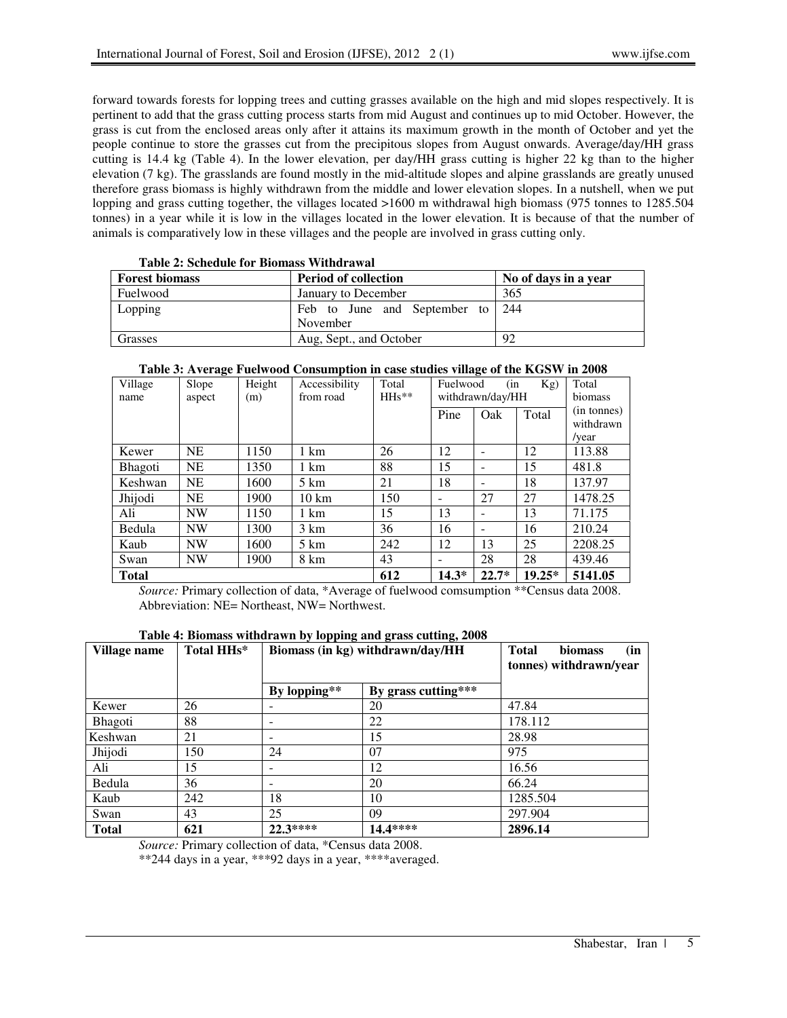forward towards forests for lopping trees and cutting grasses available on the high and mid slopes respectively. It is pertinent to add that the grass cutting process starts from mid August and continues up to mid October. However, the grass is cut from the enclosed areas only after it attains its maximum growth in the month of October and yet the people continue to store the grasses cut from the precipitous slopes from August onwards. Average/day/HH grass cutting is 14.4 kg (Table 4). In the lower elevation, per day/HH grass cutting is higher 22 kg than to the higher elevation (7 kg). The grasslands are found mostly in the mid-altitude slopes and alpine grasslands are greatly unused therefore grass biomass is highly withdrawn from the middle and lower elevation slopes. In a nutshell, when we put lopping and grass cutting together, the villages located >1600 m withdrawal high biomass (975 tonnes to 1285.504 tonnes) in a year while it is low in the villages located in the lower elevation. It is because of that the number of animals is comparatively low in these villages and the people are involved in grass cutting only.

| TWAIN THRAIN WAS THE DIAMAGED THRIAL WITH |                                  |                      |  |  |  |
|-------------------------------------------|----------------------------------|----------------------|--|--|--|
| Forest biomass                            | <b>Period of collection</b>      | No of days in a year |  |  |  |
| Fuelwood                                  | January to December              | 365                  |  |  |  |
| Lopping                                   | Feb to June and September to 244 |                      |  |  |  |
|                                           | November                         |                      |  |  |  |
| Grasses                                   | Aug, Sept., and October          | 92                   |  |  |  |

| Table 3: Average Fuelwood Consumption in case studies village of the KGSW in 2008 |
|-----------------------------------------------------------------------------------|
|                                                                                   |

| Village<br>name | Slope<br>aspect | Height<br>(m) | Accessibility<br>from road | Total<br>$H$ Hs** | (in)<br>Fuelwood<br>Kg)<br>withdrawn/day/HH |                          |          | Total<br>biomass                  |
|-----------------|-----------------|---------------|----------------------------|-------------------|---------------------------------------------|--------------------------|----------|-----------------------------------|
|                 |                 |               |                            |                   | Pine                                        | Oak                      | Total    | (in tonnes)<br>withdrawn<br>/vear |
| Kewer           | <b>NE</b>       | 1150          | 1 km                       | 26                | 12                                          |                          | 12       | 113.88                            |
| Bhagoti         | NE              | 1350          | 1 km                       | 88                | 15                                          | $\overline{\phantom{0}}$ | 15       | 481.8                             |
| Keshwan         | NE              | 1600          | $5 \mathrm{km}$            | 21                | 18                                          | $\qquad \qquad$          | 18       | 137.97                            |
| Jhijodi         | <b>NE</b>       | 1900          | $10 \text{ km}$            | 150               | ۰                                           | 27                       | 27       | 1478.25                           |
| Ali             | <b>NW</b>       | 1150          | 1 km                       | 15                | 13                                          |                          | 13       | 71.175                            |
| Bedula          | <b>NW</b>       | 1300          | $3 \text{ km}$             | 36                | 16                                          |                          | 16       | 210.24                            |
| Kaub            | <b>NW</b>       | 1600          | $5 \text{ km}$             | 242               | 12                                          | 13                       | 25       | 2208.25                           |
| Swan            | <b>NW</b>       | 1900          | 8 km                       | 43                |                                             | 28                       | 28       | 439.46                            |
| <b>Total</b>    |                 |               |                            | 612               | $14.3*$                                     | $22.7*$                  | $19.25*$ | 5141.05                           |

*Source:* Primary collection of data, \*Average of fuelwood comsumption \*\*Census data 2008. Abbreviation: NE= Northeast, NW= Northwest.

# **Table 4: Biomass withdrawn by lopping and grass cutting, 2008**

| Village name | Total HHs* | Biomass (in kg) withdrawn/day/HH |                     | (in<br><b>Total</b><br><b>biomass</b><br>tonnes) withdrawn/year |
|--------------|------------|----------------------------------|---------------------|-----------------------------------------------------------------|
|              |            | By lopping**                     | By grass cutting*** |                                                                 |
| Kewer        | 26         | ۰                                | 20                  | 47.84                                                           |
| Bhagoti      | 88         | $\overline{\phantom{0}}$         | 22                  | 178.112                                                         |
| Keshwan      | 21         | $\overline{\phantom{0}}$         | 15                  | 28.98                                                           |
| Jhijodi      | 150        | 24                               | 07                  | 975                                                             |
| Ali          | 15         | $\overline{\phantom{0}}$         | 12                  | 16.56                                                           |
| Bedula       | 36         | $\overline{\phantom{0}}$         | 20                  | 66.24                                                           |
| Kaub         | 242        | 18                               | 10                  | 1285.504                                                        |
| Swan         | 43         | 25                               | 09                  | 297.904                                                         |
| <b>Total</b> | 621        | 22.3****                         | 14.4****            | 2896.14                                                         |

*Source:* Primary collection of data, \*Census data 2008.

\*\*244 days in a year, \*\*\*92 days in a year, \*\*\*\*averaged.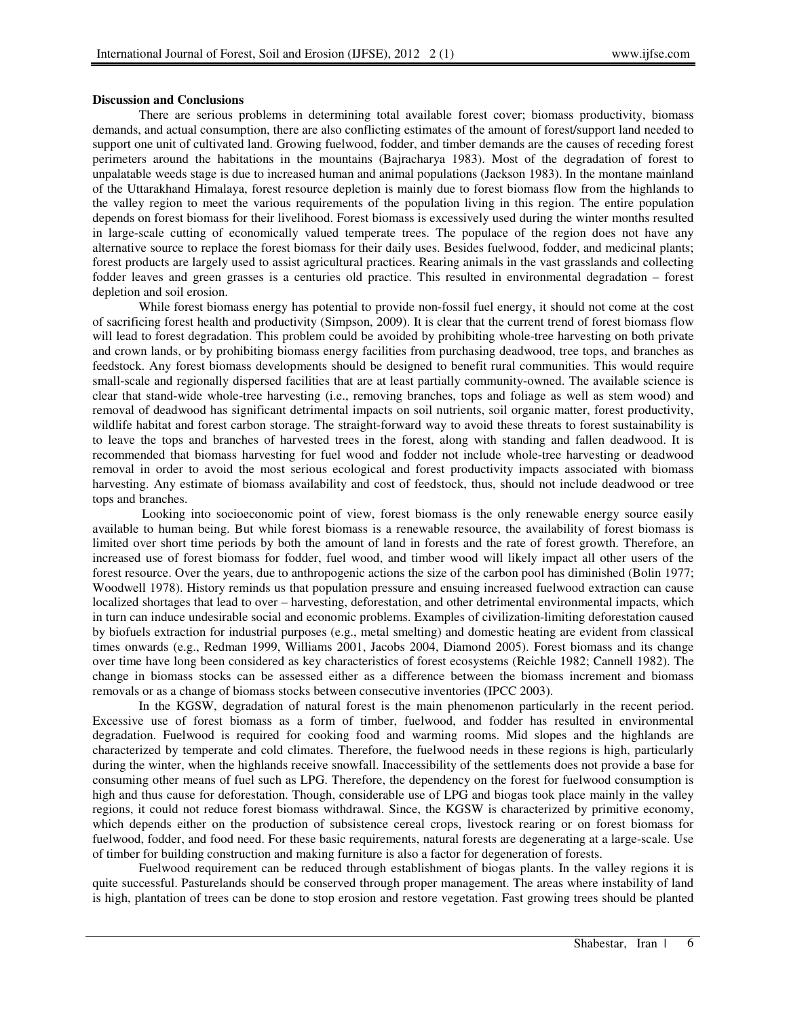# **Discussion and Conclusions**

There are serious problems in determining total available forest cover; biomass productivity, biomass demands, and actual consumption, there are also conflicting estimates of the amount of forest/support land needed to support one unit of cultivated land. Growing fuelwood, fodder, and timber demands are the causes of receding forest perimeters around the habitations in the mountains (Bajracharya 1983). Most of the degradation of forest to unpalatable weeds stage is due to increased human and animal populations (Jackson 1983). In the montane mainland of the Uttarakhand Himalaya, forest resource depletion is mainly due to forest biomass flow from the highlands to the valley region to meet the various requirements of the population living in this region. The entire population depends on forest biomass for their livelihood. Forest biomass is excessively used during the winter months resulted in large-scale cutting of economically valued temperate trees. The populace of the region does not have any alternative source to replace the forest biomass for their daily uses. Besides fuelwood, fodder, and medicinal plants; forest products are largely used to assist agricultural practices. Rearing animals in the vast grasslands and collecting fodder leaves and green grasses is a centuries old practice. This resulted in environmental degradation – forest depletion and soil erosion.

While forest biomass energy has potential to provide non-fossil fuel energy, it should not come at the cost of sacrificing forest health and productivity (Simpson, 2009). It is clear that the current trend of forest biomass flow will lead to forest degradation. This problem could be avoided by prohibiting whole-tree harvesting on both private and crown lands, or by prohibiting biomass energy facilities from purchasing deadwood, tree tops, and branches as feedstock. Any forest biomass developments should be designed to benefit rural communities. This would require small-scale and regionally dispersed facilities that are at least partially community-owned. The available science is clear that stand-wide whole-tree harvesting (i.e., removing branches, tops and foliage as well as stem wood) and removal of deadwood has significant detrimental impacts on soil nutrients, soil organic matter, forest productivity, wildlife habitat and forest carbon storage. The straight-forward way to avoid these threats to forest sustainability is to leave the tops and branches of harvested trees in the forest, along with standing and fallen deadwood. It is recommended that biomass harvesting for fuel wood and fodder not include whole-tree harvesting or deadwood removal in order to avoid the most serious ecological and forest productivity impacts associated with biomass harvesting. Any estimate of biomass availability and cost of feedstock, thus, should not include deadwood or tree tops and branches.

 Looking into socioeconomic point of view, forest biomass is the only renewable energy source easily available to human being. But while forest biomass is a renewable resource, the availability of forest biomass is limited over short time periods by both the amount of land in forests and the rate of forest growth. Therefore, an increased use of forest biomass for fodder, fuel wood, and timber wood will likely impact all other users of the forest resource. Over the years, due to anthropogenic actions the size of the carbon pool has diminished (Bolin 1977; Woodwell 1978). History reminds us that population pressure and ensuing increased fuelwood extraction can cause localized shortages that lead to over – harvesting, deforestation, and other detrimental environmental impacts, which in turn can induce undesirable social and economic problems. Examples of civilization-limiting deforestation caused by biofuels extraction for industrial purposes (e.g., metal smelting) and domestic heating are evident from classical times onwards (e.g., Redman 1999, Williams 2001, Jacobs 2004, Diamond 2005). Forest biomass and its change over time have long been considered as key characteristics of forest ecosystems (Reichle 1982; Cannell 1982). The change in biomass stocks can be assessed either as a difference between the biomass increment and biomass removals or as a change of biomass stocks between consecutive inventories (IPCC 2003).

In the KGSW, degradation of natural forest is the main phenomenon particularly in the recent period. Excessive use of forest biomass as a form of timber, fuelwood, and fodder has resulted in environmental degradation. Fuelwood is required for cooking food and warming rooms. Mid slopes and the highlands are characterized by temperate and cold climates. Therefore, the fuelwood needs in these regions is high, particularly during the winter, when the highlands receive snowfall. Inaccessibility of the settlements does not provide a base for consuming other means of fuel such as LPG. Therefore, the dependency on the forest for fuelwood consumption is high and thus cause for deforestation. Though, considerable use of LPG and biogas took place mainly in the valley regions, it could not reduce forest biomass withdrawal. Since, the KGSW is characterized by primitive economy, which depends either on the production of subsistence cereal crops, livestock rearing or on forest biomass for fuelwood, fodder, and food need. For these basic requirements, natural forests are degenerating at a large-scale. Use of timber for building construction and making furniture is also a factor for degeneration of forests.

Fuelwood requirement can be reduced through establishment of biogas plants. In the valley regions it is quite successful. Pasturelands should be conserved through proper management. The areas where instability of land is high, plantation of trees can be done to stop erosion and restore vegetation. Fast growing trees should be planted